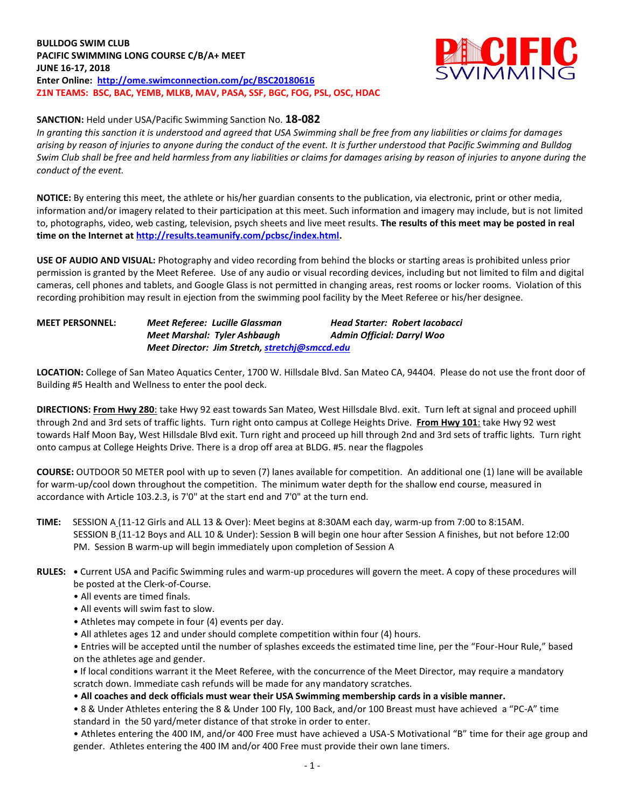**BULLDOG SWIM CLUB PACIFIC SWIMMING LONG COURSE C/B/A+ MEET JUNE 16-17, 2018 Enter Online: <http://ome.swimconnection.com/pc/BSC20180616> Z1N TEAMS: BSC, BAC, YEMB, MLKB, MAV, PASA, SSF, BGC, FOG, PSL, OSC, HDAC**



### **SANCTION:** Held under USA/Pacific Swimming Sanction No. **18-082**

*In granting this sanction it is understood and agreed that USA Swimming shall be free from any liabilities or claims for damages arising by reason of injuries to anyone during the conduct of the event. It is further understood that Pacific Swimming and Bulldog Swim Club shall be free and held harmless from any liabilities or claims for damages arising by reason of injuries to anyone during the conduct of the event.*

**NOTICE:** By entering this meet, the athlete or his/her guardian consents to the publication, via electronic, print or other media, information and/or imagery related to their participation at this meet. Such information and imagery may include, but is not limited to, photographs, video, web casting, television, psych sheets and live meet results. **The results of this meet may be posted in real time on the Internet a[t http://results.teamunify.com/pcbsc/index.html.](http://results.teamunify.com/pcbsc/index.html)**

**USE OF AUDIO AND VISUAL:** Photography and video recording from behind the blocks or starting areas is prohibited unless prior permission is granted by the Meet Referee. Use of any audio or visual recording devices, including but not limited to film and digital cameras, cell phones and tablets, and Google Glass is not permitted in changing areas, rest rooms or locker rooms. Violation of this recording prohibition may result in ejection from the swimming pool facility by the Meet Referee or his/her designee.

#### **MEET PERSONNEL:** *Meet Referee: Lucille Glassman Head Starter: Robert Iacobacci Meet Marshal: Tyler Ashbaugh Admin Official: Darryl Woo Meet Director: Jim Stretch[, stretchj@smccd.edu](mailto:stretchj@smccd.edu)*

**LOCATION:** College of San Mateo Aquatics Center, 1700 W. Hillsdale Blvd. San Mateo CA, 94404. Please do not use the front door of Building #5 Health and Wellness to enter the pool deck.

**DIRECTIONS: From Hwy 280**: take Hwy 92 east towards San Mateo, West Hillsdale Blvd. exit. Turn left at signal and proceed uphill through 2nd and 3rd sets of traffic lights. Turn right onto campus at College Heights Drive. **From Hwy 101**: take Hwy 92 west towards Half Moon Bay, West Hillsdale Blvd exit. Turn right and proceed up hill through 2nd and 3rd sets of traffic lights. Turn right onto campus at College Heights Drive. There is a drop off area at BLDG. #5. near the flagpoles

**COURSE:** OUTDOOR 50 METER pool with up to seven (7) lanes available for competition. An additional one (1) lane will be available for warm-up/cool down throughout the competition. The minimum water depth for the shallow end course, measured in accordance with Article 103.2.3, is 7'0" at the start end and 7'0" at the turn end.

- **TIME:** SESSION A (11-12 Girls and ALL 13 & Over): Meet begins at 8:30AM each day, warm-up from 7:00 to 8:15AM. SESSION B (11-12 Boys and ALL 10 & Under): Session B will begin one hour after Session A finishes, but not before 12:00 PM. Session B warm-up will begin immediately upon completion of Session A
- **RULES: •** Current USA and Pacific Swimming rules and warm-up procedures will govern the meet. A copy of these procedures will be posted at the Clerk-of-Course.
	- All events are timed finals.
	- All events will swim fast to slow.
	- Athletes may compete in four (4) events per day.
	- All athletes ages 12 and under should complete competition within four (4) hours.
	- Entries will be accepted until the number of splashes exceeds the estimated time line, per the "Four-Hour Rule," based on the athletes age and gender.

**•** If local conditions warrant it the Meet Referee, with the concurrence of the Meet Director, may require a mandatory scratch down. Immediate cash refunds will be made for any mandatory scratches.

• **All coaches and deck officials must wear their USA Swimming membership cards in a visible manner.** 

• 8 & Under Athletes entering the 8 & Under 100 Fly, 100 Back, and/or 100 Breast must have achieved a "PC-A" time standard in the 50 yard/meter distance of that stroke in order to enter.

• Athletes entering the 400 IM, and/or 400 Free must have achieved a USA-S Motivational "B" time for their age group and gender. Athletes entering the 400 IM and/or 400 Free must provide their own lane timers.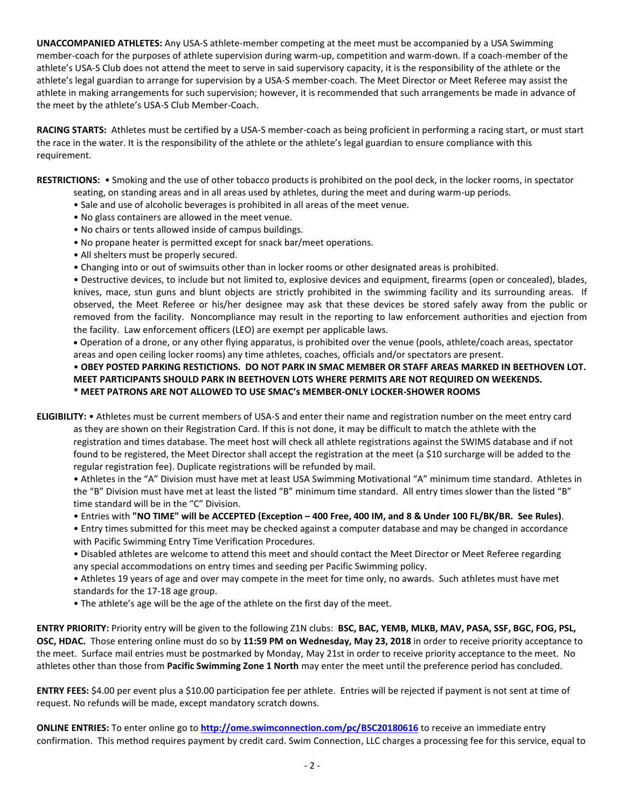**UNACCOMPANIED ATHLETES:** Any USA-S athlete-member competing at the meet must be accompanied by a USA Swimming member-coach for the purposes of athlete supervision during warm-up, competition and warm-down. If a coach-member of the athlete's USA-S Club does not attend the meet to serve in said supervisory capacity, it is the responsibility of the athlete or the athlete's legal guardian to arrange for supervision by a USA-S member-coach. The Meet Director or Meet Referee may assist the athlete in making arrangements for such supervision; however, it is recommended that such arrangements be made in advance of the meet by the athlete's USA-S Club Member-Coach.

**RACING STARTS:** Athletes must be certified by a USA-S member-coach as being proficient in performing a racing start, or must start the race in the water. It is the responsibility of the athlete or the athlete's legal guardian to ensure compliance with this requirement.

**RESTRICTIONS:** • Smoking and the use of other tobacco products is prohibited on the pool deck, in the locker rooms, in spectator

- seating, on standing areas and in all areas used by athletes, during the meet and during warm-up periods.
- Sale and use of alcoholic beverages is prohibited in all areas of the meet venue.
- No glass containers are allowed in the meet venue.
- No chairs or tents allowed inside of campus buildings.
- No propane heater is permitted except for snack bar/meet operations.
- All shelters must be properly secured.
- Changing into or out of swimsuits other than in locker rooms or other designated areas is prohibited.

• Destructive devices, to include but not limited to, explosive devices and equipment, firearms (open or concealed), blades, knives, mace, stun guns and blunt objects are strictly prohibited in the swimming facility and its surrounding areas. If observed, the Meet Referee or his/her designee may ask that these devices be stored safely away from the public or removed from the facility. Noncompliance may result in the reporting to law enforcement authorities and ejection from the facility. Law enforcement officers (LEO) are exempt per applicable laws.

 Operation of a drone, or any other flying apparatus, is prohibited over the venue (pools, athlete/coach areas, spectator areas and open ceiling locker rooms) any time athletes, coaches, officials and/or spectators are present.

## • **OBEY POSTED PARKING RESTICTIONS. DO NOT PARK IN SMAC MEMBER OR STAFF AREAS MARKED IN BEETHOVEN LOT. MEET PARTICIPANTS SHOULD PARK IN BEETHOVEN LOTS WHERE PERMITS ARE NOT REQUIRED ON WEEKENDS. \* MEET PATRONS ARE NOT ALLOWED TO USE SMAC's MEMBER-ONLY LOCKER-SHOWER ROOMS**

**ELIGIBILITY:** • Athletes must be current members of USA-S and enter their name and registration number on the meet entry card

as they are shown on their Registration Card. If this is not done, it may be difficult to match the athlete with the registration and times database. The meet host will check all athlete registrations against the SWIMS database and if not found to be registered, the Meet Director shall accept the registration at the meet (a \$10 surcharge will be added to the regular registration fee). Duplicate registrations will be refunded by mail.

• Athletes in the "A" Division must have met at least USA Swimming Motivational "A" minimum time standard. Athletes in the "B" Division must have met at least the listed "B" minimum time standard. All entry times slower than the listed "B" time standard will be in the "C" Division.

- Entries with **"NO TIME" will be ACCEPTED (Exception – 400 Free, 400 IM, and 8 & Under 100 FL/BK/BR. See Rules)**.
- Entry times submitted for this meet may be checked against a computer database and may be changed in accordance with Pacific Swimming Entry Time Verification Procedures.
- Disabled athletes are welcome to attend this meet and should contact the Meet Director or Meet Referee regarding any special accommodations on entry times and seeding per Pacific Swimming policy.

• Athletes 19 years of age and over may compete in the meet for time only, no awards. Such athletes must have met standards for the 17-18 age group.

• The athlete's age will be the age of the athlete on the first day of the meet.

**ENTRY PRIORITY:** Priority entry will be given to the following Z1N clubs: **BSC, BAC, YEMB, MLKB, MAV, PASA, SSF, BGC, FOG, PSL, OSC, HDAC.** Those entering online must do so by **11:59 PM on Wednesday, May 23, 2018** in order to receive priority acceptance to the meet. Surface mail entries must be postmarked by Monday, May 21st in order to receive priority acceptance to the meet. No athletes other than those from **Pacific Swimming Zone 1 North** may enter the meet until the preference period has concluded.

**ENTRY FEES:** \$4.00 per event plus a \$10.00 participation fee per athlete. Entries will be rejected if payment is not sent at time of request. No refunds will be made, except mandatory scratch downs.

**ONLINE ENTRIES:** To enter online go to **<http://ome.swimconnection.com/pc/BSC20180616>** to receive an immediate entry confirmation. This method requires payment by credit card. Swim Connection, LLC charges a processing fee for this service, equal to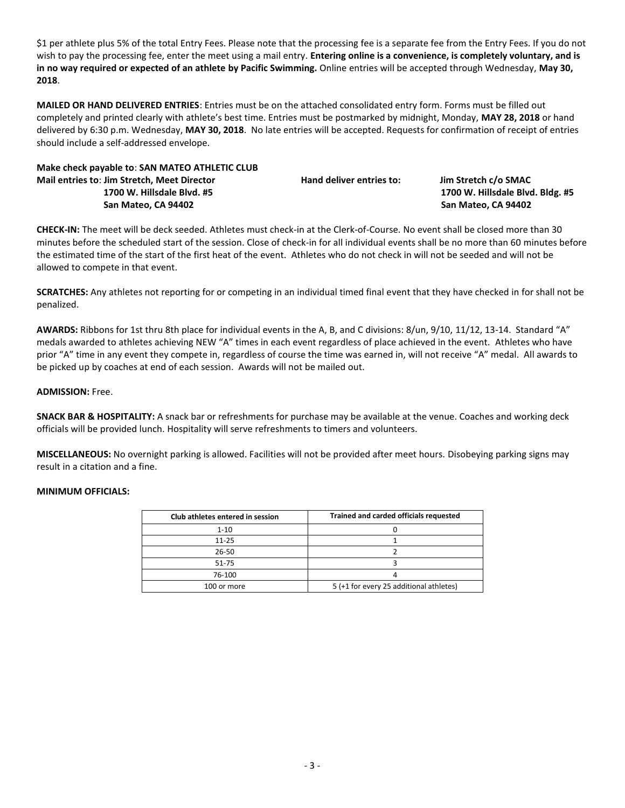\$1 per athlete plus 5% of the total Entry Fees. Please note that the processing fee is a separate fee from the Entry Fees. If you do not wish to pay the processing fee, enter the meet using a mail entry. **Entering online is a convenience, is completely voluntary, and is in no way required or expected of an athlete by Pacific Swimming.** Online entries will be accepted through Wednesday, **May 30, 2018**.

**MAILED OR HAND DELIVERED ENTRIES**: Entries must be on the attached consolidated entry form. Forms must be filled out completely and printed clearly with athlete's best time. Entries must be postmarked by midnight, Monday, **MAY 28, 2018** or hand delivered by 6:30 p.m. Wednesday, **MAY 30, 2018**. No late entries will be accepted. Requests for confirmation of receipt of entries should include a self-addressed envelope.

**Make check payable to**: **SAN MATEO ATHLETIC CLUB Mail entries to**: **Jim Stretch, Meet Director Hand deliver entries to: Jim Stretch c/o SMAC 1700 W. Hillsdale Blvd. #5 1700 W. Hillsdale Blvd. Bldg. #5 San Mateo, CA 94402 San Mateo, CA 94402**

**CHECK-IN:** The meet will be deck seeded. Athletes must check-in at the Clerk-of-Course. No event shall be closed more than 30 minutes before the scheduled start of the session. Close of check-in for all individual events shall be no more than 60 minutes before the estimated time of the start of the first heat of the event. Athletes who do not check in will not be seeded and will not be allowed to compete in that event.

**SCRATCHES:** Any athletes not reporting for or competing in an individual timed final event that they have checked in for shall not be penalized.

**AWARDS:** Ribbons for 1st thru 8th place for individual events in the A, B, and C divisions: 8/un, 9/10, 11/12, 13-14. Standard "A" medals awarded to athletes achieving NEW "A" times in each event regardless of place achieved in the event. Athletes who have prior "A" time in any event they compete in, regardless of course the time was earned in, will not receive "A" medal. All awards to be picked up by coaches at end of each session. Awards will not be mailed out.

### **ADMISSION:** Free.

**SNACK BAR & HOSPITALITY:** A snack bar or refreshments for purchase may be available at the venue. Coaches and working deck officials will be provided lunch. Hospitality will serve refreshments to timers and volunteers.

**MISCELLANEOUS:** No overnight parking is allowed. Facilities will not be provided after meet hours. Disobeying parking signs may result in a citation and a fine.

# **MINIMUM OFFICIALS:**

| Club athletes entered in session | Trained and carded officials requested  |  |  |  |  |  |
|----------------------------------|-----------------------------------------|--|--|--|--|--|
| $1 - 10$                         |                                         |  |  |  |  |  |
| $11 - 25$                        |                                         |  |  |  |  |  |
| 26-50                            |                                         |  |  |  |  |  |
| 51-75                            |                                         |  |  |  |  |  |
| 76-100                           |                                         |  |  |  |  |  |
| 100 or more                      | 5 (+1 for every 25 additional athletes) |  |  |  |  |  |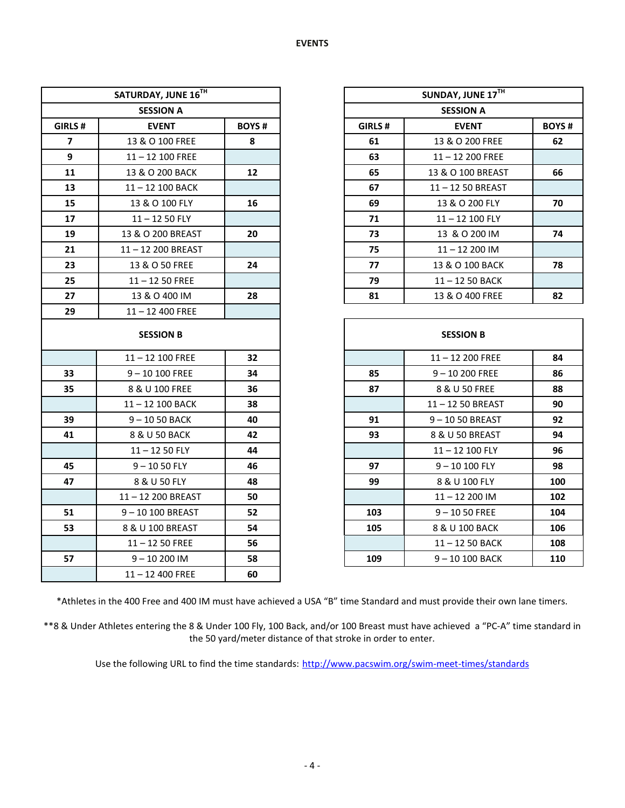| SATURDAY, JUNE 16TH     |                    |              | SUNDAY, JUNE 17TH |                   |              |  |
|-------------------------|--------------------|--------------|-------------------|-------------------|--------------|--|
|                         | <b>SESSION A</b>   |              | <b>SESSION A</b>  |                   |              |  |
| GIRLS#                  | <b>EVENT</b>       | <b>BOYS#</b> | GIRLS#            | <b>EVENT</b>      | <b>BOYS#</b> |  |
| $\overline{\mathbf{z}}$ | 13 & O 100 FREE    | 8            | 61                | 13 & O 200 FREE   | 62           |  |
| 9                       | $11 - 12$ 100 FREE |              | 63                | $11 - 12200$ FREE |              |  |
| 11                      | 13 & O 200 BACK    | 12           | 65                | 13 & O 100 BREAST | 66           |  |
| 13                      | 11-12 100 BACK     |              | 67                | 11-12 50 BREAST   |              |  |
| 15                      | 13 & O 100 FLY     | 16           | 69                | 13 & O 200 FLY    | 70           |  |
| 17                      | $11 - 1250$ FLY    |              | 71                | 11-12 100 FLY     |              |  |
| 19                      | 13 & O 200 BREAST  | 20           | 73                | 13 & O 200 IM     | 74           |  |
| 21                      | 11-12 200 BREAST   |              | 75                | $11 - 12200$ IM   |              |  |
| 23                      | 13 & O 50 FREE     | 24           | 77                | 13 & O 100 BACK   | 78           |  |
| 25                      | $11 - 1250$ FREE   |              | 79                | 11-12 50 BACK     |              |  |
| 27                      | 13 & O 400 IM      | 28           | 81                | 13 & O 400 FREE   | 82           |  |
| 29                      | $11 - 12$ 400 FREE |              |                   |                   |              |  |
| <b>SESSION B</b>        |                    |              |                   | <b>SESSION B</b>  |              |  |
|                         | $11 - 12$ 100 FREE | 32           |                   | 11-12 200 FREE    | 84           |  |
| 33                      | $9 - 10100$ FREE   | 34           | 85                | $9 - 10200$ FREE  | 86           |  |
| 35                      | 8 & U 100 FREE     | 36           | 87                | 8 & U 50 FREE     | 88           |  |
|                         | 11-12 100 BACK     | 38           |                   | 11-12 50 BREAST   | 90           |  |
| 39                      | $9 - 1050$ BACK    | 40           | 91                | $9 - 1050$ BREAST | 92           |  |
| 41                      | 8 & U 50 BACK      | 42           | 93                | 8 & U 50 BREAST   | 94           |  |
|                         | $11 - 1250$ FLY    | 44           |                   | 11-12 100 FLY     | 96           |  |
| 45                      | $9 - 1050$ FLY     | 46           | 97                | $9 - 10100$ FLY   | 98           |  |
| 47                      | 8 & U 50 FLY       | 48           | 99                | 8 & U 100 FLY     | 100          |  |
|                         | 11-12 200 BREAST   | 50           |                   | $11 - 12200$ IM   | 102          |  |
| 51                      | 9-10 100 BREAST    | 52           | 103               | $9 - 1050$ FREE   | 104          |  |
| 53                      | 8 & U 100 BREAST   | 54           | 105               | 8 & U 100 BACK    | 106          |  |
|                         | $11 - 1250$ FREE   | 56           |                   | 11-12 50 BACK     | 108          |  |
| 57                      | $9 - 10200$ IM     | 58           | 109               | $9 - 10100$ BACK  | 110          |  |
|                         | $11 - 12400$ FREE  | 60           |                   |                   |              |  |

\*Athletes in the 400 Free and 400 IM must have achieved a USA "B" time Standard and must provide their own lane timers.

\*\*8 & Under Athletes entering the 8 & Under 100 Fly, 100 Back, and/or 100 Breast must have achieved a "PC-A" time standard in the 50 yard/meter distance of that stroke in order to enter.

Use the following URL to find the time standards: <http://www.pacswim.org/swim-meet-times/standards>